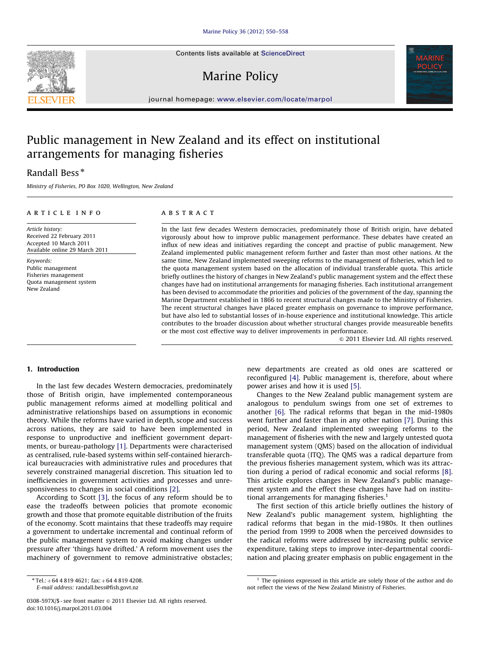Contents lists available at ScienceDirect

# Marine Policy



journal homepage: <www.elsevier.com/locate/marpol>

# Public management in New Zealand and its effect on institutional arrangements for managing fisheries

## Randall Bess<sup>\*</sup>

Article history:

Keywords: Public management Fisheries management Quota management system

New Zealand

Ministry of Fisheries, PO Box 1020, Wellington, New Zealand

#### article info

Received 22 February 2011 Accepted 10 March 2011 Available online 29 March 2011 ABSTRACT

In the last few decades Western democracies, predominately those of British origin, have debated vigorously about how to improve public management performance. These debates have created an influx of new ideas and initiatives regarding the concept and practise of public management. New Zealand implemented public management reform further and faster than most other nations. At the same time, New Zealand implemented sweeping reforms to the management of fisheries, which led to the quota management system based on the allocation of individual transferable quota. This article briefly outlines the history of changes in New Zealand's public management system and the effect these changes have had on institutional arrangements for managing fisheries. Each institutional arrangement has been devised to accommodate the priorities and policies of the government of the day, spanning the Marine Department established in 1866 to recent structural changes made to the Ministry of Fisheries. The recent structural changes have placed greater emphasis on governance to improve performance, but have also led to substantial losses of in-house experience and institutional knowledge. This article contributes to the broader discussion about whether structural changes provide measureable benefits or the most cost effective way to deliver improvements in performance.

 $© 2011 Elsevier Ltd. All rights reserved.$ 

## 1. Introduction

In the last few decades Western democracies, predominately those of British origin, have implemented contemporaneous public management reforms aimed at modelling political and administrative relationships based on assumptions in economic theory. While the reforms have varied in depth, scope and success across nations, they are said to have been implemented in response to unproductive and inefficient government departments, or bureau-pathology [\[1\].](#page--1-0) Departments were characterised as centralised, rule-based systems within self-contained hierarchical bureaucracies with administrative rules and procedures that severely constrained managerial discretion. This situation led to inefficiencies in government activities and processes and unresponsiveness to changes in social conditions [\[2\].](#page--1-0)

According to Scott [\[3\]](#page--1-0), the focus of any reform should be to ease the tradeoffs between policies that promote economic growth and those that promote equitable distribution of the fruits of the economy. Scott maintains that these tradeoffs may require a government to undertake incremental and continual reform of the public management system to avoid making changes under pressure after 'things have drifted.' A reform movement uses the machinery of government to remove administrative obstacles; new departments are created as old ones are scattered or reconfigured [\[4\].](#page--1-0) Public management is, therefore, about where power arises and how it is used [\[5\].](#page--1-0)

Changes to the New Zealand public management system are analogous to pendulum swings from one set of extremes to another [\[6\].](#page--1-0) The radical reforms that began in the mid-1980s went further and faster than in any other nation [\[7\]](#page--1-0). During this period, New Zealand implemented sweeping reforms to the management of fisheries with the new and largely untested quota management system (QMS) based on the allocation of individual transferable quota (ITQ). The QMS was a radical departure from the previous fisheries management system, which was its attraction during a period of radical economic and social reforms [\[8\].](#page--1-0) This article explores changes in New Zealand's public management system and the effect these changes have had on institutional arrangements for managing fisheries. $<sup>1</sup>$ </sup>

The first section of this article briefly outlines the history of New Zealand's public management system, highlighting the radical reforms that began in the mid-1980s. It then outlines the period from 1999 to 2008 when the perceived downsides to the radical reforms were addressed by increasing public service expenditure, taking steps to improve inter-departmental coordination and placing greater emphasis on public engagement in the



 $*$ Tel.: +64 4 819 4621; fax: +64 4 819 4208.

E-mail address: [randall.bess@fish.govt.nz](mailto:randall.bess@fish.govt.nz)

<sup>0308-597</sup>X/\$ - see front matter  $\circ$  2011 Elsevier Ltd. All rights reserved. doi:[10.1016/j.marpol.2011.03.004](dx.doi.org/10.1016/j.marpol.2011.03.004)

<sup>&</sup>lt;sup>1</sup> The opinions expressed in this article are solely those of the author and do not reflect the views of the New Zealand Ministry of Fisheries.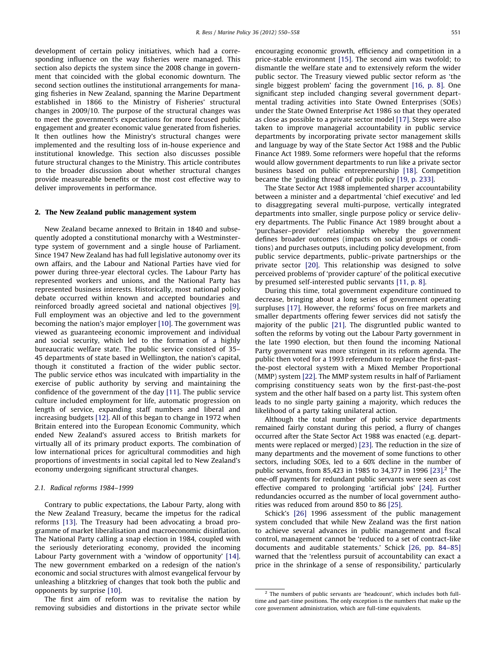development of certain policy initiatives, which had a corresponding influence on the way fisheries were managed. This section also depicts the system since the 2008 change in government that coincided with the global economic downturn. The second section outlines the institutional arrangements for managing fisheries in New Zealand, spanning the Marine Department established in 1866 to the Ministry of Fisheries' structural changes in 2009/10. The purpose of the structural changes was to meet the government's expectations for more focused public engagement and greater economic value generated from fisheries. It then outlines how the Ministry's structural changes were implemented and the resulting loss of in-house experience and institutional knowledge. This section also discusses possible future structural changes to the Ministry. This article contributes to the broader discussion about whether structural changes provide measureable benefits or the most cost effective way to deliver improvements in performance.

### 2. The New Zealand public management system

New Zealand became annexed to Britain in 1840 and subsequently adopted a constitutional monarchy with a Westminstertype system of government and a single house of Parliament. Since 1947 New Zealand has had full legislative autonomy over its own affairs, and the Labour and National Parties have vied for power during three-year electoral cycles. The Labour Party has represented workers and unions, and the National Party has represented business interests. Historically, most national policy debate occurred within known and accepted boundaries and reinforced broadly agreed societal and national objectives [\[9\].](#page--1-0) Full employment was an objective and led to the government becoming the nation's major employer [\[10\].](#page--1-0) The government was viewed as guaranteeing economic improvement and individual and social security, which led to the formation of a highly bureaucratic welfare state. The public service consisted of 35– 45 departments of state based in Wellington, the nation's capital, though it constituted a fraction of the wider public sector. The public service ethos was inculcated with impartiality in the exercise of public authority by serving and maintaining the confidence of the government of the day [\[11\].](#page--1-0) The public service culture included employment for life, automatic progression on length of service, expanding staff numbers and liberal and increasing budgets [\[12\]](#page--1-0). All of this began to change in 1972 when Britain entered into the European Economic Community, which ended New Zealand's assured access to British markets for virtually all of its primary product exports. The combination of low international prices for agricultural commodities and high proportions of investments in social capital led to New Zealand's economy undergoing significant structural changes.

#### 2.1. Radical reforms 1984–1999

Contrary to public expectations, the Labour Party, along with the New Zealand Treasury, became the impetus for the radical reforms [\[13\]](#page--1-0). The Treasury had been advocating a broad programme of market liberalisation and macroeconomic disinflation. The National Party calling a snap election in 1984, coupled with the seriously deteriorating economy, provided the incoming Labour Party government with a 'window of opportunity' [\[14\].](#page--1-0) The new government embarked on a redesign of the nation's economic and social structures with almost evangelical fervour by unleashing a blitzkrieg of changes that took both the public and opponents by surprise [\[10\]](#page--1-0).

The first aim of reform was to revitalise the nation by removing subsidies and distortions in the private sector while encouraging economic growth, efficiency and competition in a price-stable environment [\[15\].](#page--1-0) The second aim was twofold; to dismantle the welfare state and to extensively reform the wider public sector. The Treasury viewed public sector reform as 'the single biggest problem' facing the government [\[16, p. 8\]](#page--1-0). One significant step included changing several government departmental trading activities into State Owned Enterprises (SOEs) under the State Owned Enterprise Act 1986 so that they operated as close as possible to a private sector model [\[17\]](#page--1-0). Steps were also taken to improve managerial accountability in public service departments by incorporating private sector management skills and language by way of the State Sector Act 1988 and the Public Finance Act 1989. Some reformers were hopeful that the reforms would allow government departments to run like a private sector business based on public entrepreneurship [\[18\].](#page--1-0) Competition became the 'guiding thread' of public policy [\[19, p. 233\]](#page--1-0).

The State Sector Act 1988 implemented sharper accountability between a minister and a departmental 'chief executive' and led to disaggregating several multi-purpose, vertically integrated departments into smaller, single purpose policy or service delivery departments. The Public Finance Act 1989 brought about a 'purchaser–provider' relationship whereby the government defines broader outcomes (impacts on social groups or conditions) and purchases outputs, including policy development, from public service departments, public–private partnerships or the private sector [\[20\]](#page--1-0). This relationship was designed to solve perceived problems of 'provider capture' of the political executive by presumed self-interested public servants [\[11, p. 8\].](#page--1-0)

During this time, total government expenditure continued to decrease, bringing about a long series of government operating surpluses [\[17\]](#page--1-0). However, the reforms' focus on free markets and smaller departments offering fewer services did not satisfy the majority of the public [\[21\].](#page--1-0) The disgruntled public wanted to soften the reforms by voting out the Labour Party government in the late 1990 election, but then found the incoming National Party government was more stringent in its reform agenda. The public then voted for a 1993 referendum to replace the first-pastthe-post electoral system with a Mixed Member Proportional (MMP) system [\[22\].](#page--1-0) The MMP system results in half of Parliament comprising constituency seats won by the first-past-the-post system and the other half based on a party list. This system often leads to no single party gaining a majority, which reduces the likelihood of a party taking unilateral action.

Although the total number of public service departments remained fairly constant during this period, a flurry of changes occurred after the State Sector Act 1988 was enacted (e.g. departments were replaced or merged) [\[23\].](#page--1-0) The reduction in the size of many departments and the movement of some functions to other sectors, including SOEs, led to a 60% decline in the number of public servants, from 85,423 in 1985 to 34,377 in 1996 [\[23\].](#page--1-0) <sup>2</sup> The one-off payments for redundant public servants were seen as cost effective compared to prolonging 'artificial jobs' [\[24\]](#page--1-0). Further redundancies occurred as the number of local government authorities was reduced from around 850 to 86 [\[25\]](#page--1-0).

Schick's [\[26\]](#page--1-0) 1996 assessment of the public management system concluded that while New Zealand was the first nation to achieve several advances in public management and fiscal control, management cannot be 'reduced to a set of contract-like documents and auditable statements.' Schick [\[26, pp. 84–85\]](#page--1-0) warned that the 'relentless pursuit of accountability can exact a price in the shrinkage of a sense of responsibility,' particularly

 $2$  The numbers of public servants are 'headcount', which includes both fulltime and part-time positions. The only exception is the numbers that make up the core government administration, which are full-time equivalents.